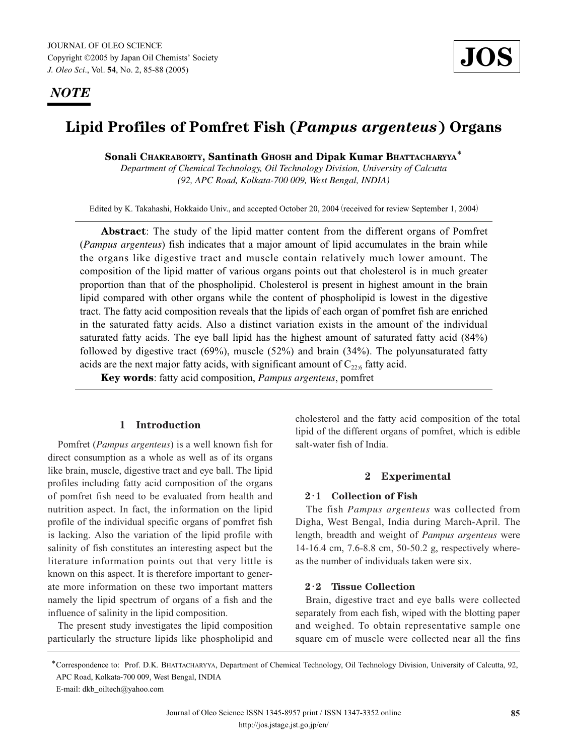## *NOTE*

# **Lipid Profiles of Pomfret Fish (***Pampus argenteus***) Organs**

**Sonali CHAKRABORTY, Santinath GHOSH and Dipak Kumar BHATTACHARYYA**\*

*Department of Chemical Technology, Oil Technology Division, University of Calcutta (92, APC Road, Kolkata-700 009, West Bengal, INDIA)*

Edited by K. Takahashi, Hokkaido Univ., and accepted October 20, 2004 (received for review September 1, 2004)

**Abstract**: The study of the lipid matter content from the different organs of Pomfret (*Pampus argenteus*) fish indicates that a major amount of lipid accumulates in the brain while the organs like digestive tract and muscle contain relatively much lower amount. The composition of the lipid matter of various organs points out that cholesterol is in much greater proportion than that of the phospholipid. Cholesterol is present in highest amount in the brain lipid compared with other organs while the content of phospholipid is lowest in the digestive tract. The fatty acid composition reveals that the lipids of each organ of pomfret fish are enriched in the saturated fatty acids. Also a distinct variation exists in the amount of the individual saturated fatty acids. The eye ball lipid has the highest amount of saturated fatty acid (84%) followed by digestive tract (69%), muscle (52%) and brain (34%). The polyunsaturated fatty acids are the next major fatty acids, with significant amount of  $C_{22:6}$  fatty acid.

**Key words**: fatty acid composition, *Pampus argenteus*, pomfret

#### **1 Introduction**

Pomfret (*Pampus argenteus*) is a well known fish for direct consumption as a whole as well as of its organs like brain, muscle, digestive tract and eye ball. The lipid profiles including fatty acid composition of the organs of pomfret fish need to be evaluated from health and nutrition aspect. In fact, the information on the lipid profile of the individual specific organs of pomfret fish is lacking. Also the variation of the lipid profile with salinity of fish constitutes an interesting aspect but the literature information points out that very little is known on this aspect. It is therefore important to generate more information on these two important matters namely the lipid spectrum of organs of a fish and the influence of salinity in the lipid composition.

The present study investigates the lipid composition particularly the structure lipids like phospholipid and cholesterol and the fatty acid composition of the total lipid of the different organs of pomfret, which is edible salt-water fish of India.

## **2 Experimental**

#### **2**・**1 Collection of Fish**

The fish *Pampus argenteus* was collected from Digha, West Bengal, India during March-April. The length, breadth and weight of *Pampus argenteus* were 14-16.4 cm, 7.6-8.8 cm, 50-50.2 g, respectively whereas the number of individuals taken were six.

#### **2**・**2 Tissue Collection**

Brain, digestive tract and eye balls were collected separately from each fish, wiped with the blotting paper and weighed. To obtain representative sample one square cm of muscle were collected near all the fins

<sup>\*</sup>Correspondence to: Prof. D.K. BHATTACHARYYA, Department of Chemical Technology, Oil Technology Division, University of Calcutta, 92, APC Road, Kolkata-700 009, West Bengal, INDIA

E-mail: dkb\_oiltech@yahoo.com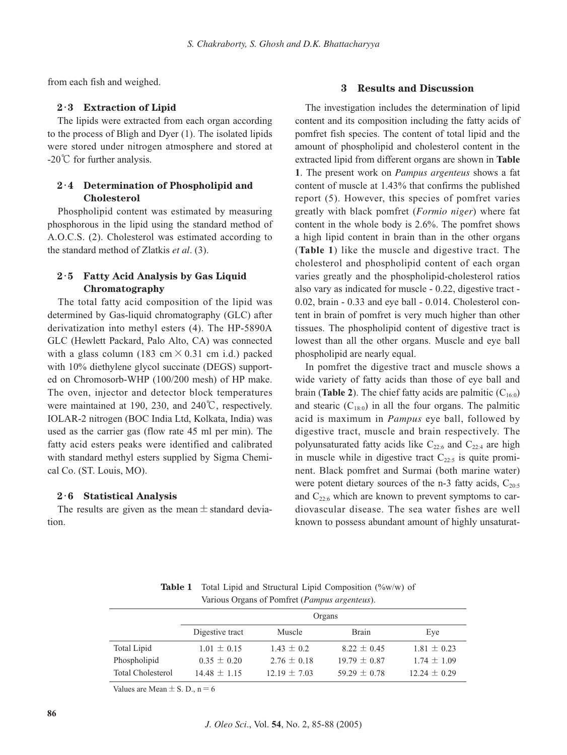from each fish and weighed.

#### **2**・**3 Extraction of Lipid**

The lipids were extracted from each organ according to the process of Bligh and Dyer (1). The isolated lipids were stored under nitrogen atmosphere and stored at -20℃ for further analysis.

## **2**・**4 Determination of Phospholipid and Cholesterol**

Phospholipid content was estimated by measuring phosphorous in the lipid using the standard method of A.O.C.S. (2). Cholesterol was estimated according to the standard method of Zlatkis *et al*. (3).

## **2**・**5 Fatty Acid Analysis by Gas Liquid Chromatography**

The total fatty acid composition of the lipid was determined by Gas-liquid chromatography (GLC) after derivatization into methyl esters (4). The HP-5890A GLC (Hewlett Packard, Palo Alto, CA) was connected with a glass column (183 cm  $\times$  0.31 cm i.d.) packed with 10% diethylene glycol succinate (DEGS) supported on Chromosorb-WHP (100/200 mesh) of HP make. The oven, injector and detector block temperatures were maintained at 190, 230, and 240℃, respectively. IOLAR-2 nitrogen (BOC India Ltd, Kolkata, India) was used as the carrier gas (flow rate 45 ml per min). The fatty acid esters peaks were identified and calibrated with standard methyl esters supplied by Sigma Chemical Co. (ST. Louis, MO).

#### **2**・**6 Statistical Analysis**

The results are given as the mean  $\pm$  standard deviation.

#### **3 Results and Discussion**

The investigation includes the determination of lipid content and its composition including the fatty acids of pomfret fish species. The content of total lipid and the amount of phospholipid and cholesterol content in the extracted lipid from different organs are shown in **Table 1**. The present work on *Pampus argenteus* shows a fat content of muscle at 1.43% that confirms the published report (5). However, this species of pomfret varies greatly with black pomfret (*Formio niger*) where fat content in the whole body is 2.6%. The pomfret shows a high lipid content in brain than in the other organs (**Table 1**) like the muscle and digestive tract. The cholesterol and phospholipid content of each organ varies greatly and the phospholipid-cholesterol ratios also vary as indicated for muscle - 0.22, digestive tract - 0.02, brain - 0.33 and eye ball - 0.014. Cholesterol content in brain of pomfret is very much higher than other tissues. The phospholipid content of digestive tract is lowest than all the other organs. Muscle and eye ball phospholipid are nearly equal.

In pomfret the digestive tract and muscle shows a wide variety of fatty acids than those of eye ball and brain (**Table 2**). The chief fatty acids are palmitic  $(C_{16:0})$ and stearic  $(C_{18:0})$  in all the four organs. The palmitic acid is maximum in *Pampus* eye ball, followed by digestive tract, muscle and brain respectively. The polyunsaturated fatty acids like  $C_{22:6}$  and  $C_{22:4}$  are high in muscle while in digestive tract  $C_{22:5}$  is quite prominent. Black pomfret and Surmai (both marine water) were potent dietary sources of the n-3 fatty acids,  $C_{20:5}$ and  $C_{22:6}$  which are known to prevent symptoms to cardiovascular disease. The sea water fishes are well known to possess abundant amount of highly unsaturat-

**Table 1** Total Lipid and Structural Lipid Composition (%w/w) of Various Organs of Pomfret (*Pampus argenteus*).

|                   | Organs          |                  |                  |                  |
|-------------------|-----------------|------------------|------------------|------------------|
|                   | Digestive tract | Muscle           | Brain            | Eye              |
| Total Lipid       | $1.01 \pm 0.15$ | $1.43 \pm 0.2$   | $8.22 \pm 0.45$  | $1.81 \pm 0.23$  |
| Phospholipid      | $0.35 \pm 0.20$ | $2.76 \pm 0.18$  | $19.79 \pm 0.87$ | $1.74 \pm 1.09$  |
| Total Cholesterol | $14.48 + 1.15$  | $12.19 \pm 7.03$ | $59.29 \pm 0.78$ | $12.24 \pm 0.29$ |

Values are Mean  $\pm$  S. D., n = 6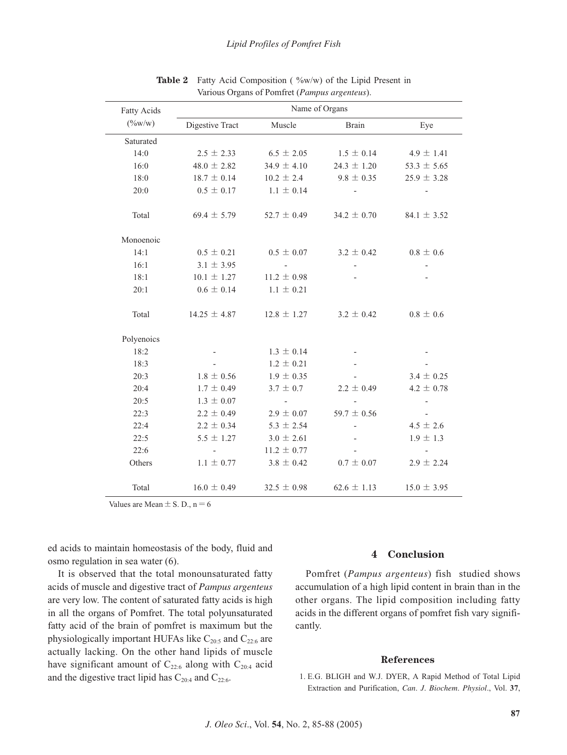| <b>Fatty Acids</b><br>$(\%w/w)$ | Name of Organs   |                          |                 |                          |  |
|---------------------------------|------------------|--------------------------|-----------------|--------------------------|--|
|                                 | Digestive Tract  | Muscle                   | <b>Brain</b>    | Eye                      |  |
| Saturated                       |                  |                          |                 |                          |  |
| 14:0                            | $2.5 \pm 2.33$   | $6.5 \pm 2.05$           | $1.5 \pm 0.14$  | $4.9 \pm 1.41$           |  |
| 16:0                            | $48.0 \pm 2.82$  | $34.9 \pm 4.10$          | $24.3 \pm 1.20$ | $53.3 \pm 5.65$          |  |
| 18:0                            | $18.7 \pm 0.14$  | $10.2 \pm 2.4$           | $9.8 \pm 0.35$  | $25.9 \pm 3.28$          |  |
| 20:0                            | $0.5 \pm 0.17$   | $1.1 \pm 0.14$           |                 |                          |  |
| Total                           | $69.4 \pm 5.79$  | 52.7 $\pm$ 0.49          | $34.2 \pm 0.70$ | $84.1 \pm 3.52$          |  |
| Monoenoic                       |                  |                          |                 |                          |  |
| 14:1                            | $0.5 \pm 0.21$   | $0.5 \pm 0.07$           | $3.2 \pm 0.42$  | $0.8 \pm 0.6$            |  |
| 16:1                            | $3.1 \pm 3.95$   |                          |                 |                          |  |
| 18:1                            | $10.1 \pm 1.27$  | $11.2 \pm 0.98$          |                 |                          |  |
| 20:1                            | $0.6 \pm 0.14$   | $1.1 \pm 0.21$           |                 |                          |  |
| Total                           | $14.25 \pm 4.87$ | $12.8 \pm 1.27$          | $3.2 \pm 0.42$  | $0.8 \pm 0.6$            |  |
| Polyenoics                      |                  |                          |                 |                          |  |
| 18:2                            |                  | $1.3 \pm 0.14$           |                 |                          |  |
| 18:3                            |                  | $1.2 \pm 0.21$           |                 |                          |  |
| 20:3                            | $1.8 \pm 0.56$   | $1.9 \pm 0.35$           |                 | $3.4 \pm 0.25$           |  |
| 20:4                            | $1.7 \pm 0.49$   | $3.7 \pm 0.7$            | $2.2 \pm 0.49$  | $4.2 \pm 0.78$           |  |
| 20:5                            | $1.3 \pm 0.07$   | $\overline{\phantom{0}}$ |                 | $\overline{\phantom{0}}$ |  |
| 22:3                            | $2.2 \pm 0.49$   | $2.9 \pm 0.07$           | $59.7 \pm 0.56$ |                          |  |
| 22:4                            | $2.2 \pm 0.34$   | $5.3 \pm 2.54$           |                 | $4.5 \pm 2.6$            |  |
| 22:5                            | $5.5 \pm 1.27$   | $3.0 \pm 2.61$           |                 | $1.9 \pm 1.3$            |  |
| 22:6                            | $\overline{a}$   | $11.2 \pm 0.77$          |                 | $\overline{\phantom{0}}$ |  |
| Others                          | $1.1 \pm 0.77$   | $3.8 \pm 0.42$           | $0.7 \pm 0.07$  | $2.9 \pm 2.24$           |  |
| Total                           | $16.0 \pm 0.49$  | $32.5 \pm 0.98$          | $62.6 \pm 1.13$ | $15.0 \pm 3.95$          |  |

Table 2 Fatty Acid Composition (  $\%$ w/w) of the Lipid Present in Various Organs of Pomfret (*Pampus argenteus*).

Values are Mean  $\pm$  S. D., n = 6

ed acids to maintain homeostasis of the body, fluid and osmo regulation in sea water (6).

It is observed that the total monounsaturated fatty acids of muscle and digestive tract of *Pampus argenteus* are very low. The content of saturated fatty acids is high in all the organs of Pomfret. The total polyunsaturated fatty acid of the brain of pomfret is maximum but the physiologically important HUFAs like  $C_{20:5}$  and  $C_{22:6}$  are actually lacking. On the other hand lipids of muscle have significant amount of  $C_{22:6}$  along with  $C_{20:4}$  acid and the digestive tract lipid has  $C_{20:4}$  and  $C_{22:6}$ .

### **4 Conclusion**

Pomfret (*Pampus argenteus*) fish studied shows accumulation of a high lipid content in brain than in the other organs. The lipid composition including fatty acids in the different organs of pomfret fish vary significantly.

#### **References**

<sup>1.</sup> E.G. BLIGH and W.J. DYER, A Rapid Method of Total Lipid Extraction and Purification, *Can*. *J*. *Biochem*. *Physiol*., Vol. **37**,